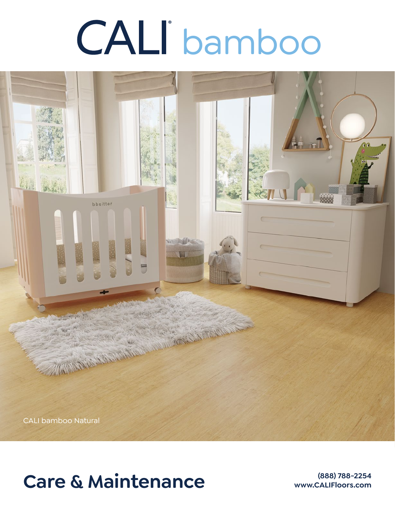# bamboo



## Care & Maintenance **Care & Maintenance**

**www.CALIFloors.com**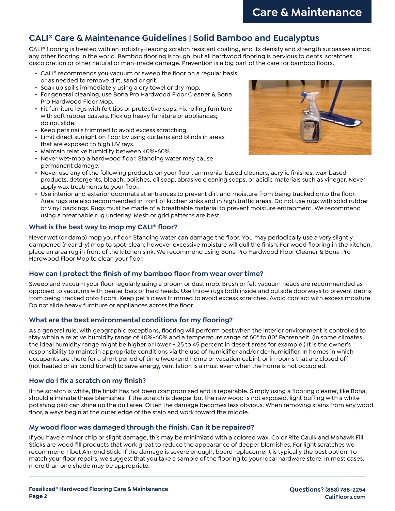### **CALI® Care & Maintenance Guidelines | Solid Bamboo and Eucalyptus**

CALI® flooring is treated with an industry-leading scratch resistant coating, and its density and strength surpasses almost any other flooring in the world. Bamboo flooring is tough, but all hardwood flooring is pervious to dents, scratches, discoloration or other natural or man-made damage. Prevention is a big part of the care for bamboo floors.

- CALI® recommends you vacuum or sweep the floor on a regular basis or as needed to remove dirt, sand or grit.
- Soak up spills immediately using a dry towel or dry mop.
- For general cleaning, use Bona Pro Hardwood Floor Cleaner & Bona Pro Hardwood Floor Mop.
- Fit furniture legs with felt tips or protective caps. Fix rolling furniture with soft rubber casters. Pick up heavy furniture or appliances; do not slide.
- Keep pets nails trimmed to avoid excess scratching.
- Limit direct sunlight on floor by using curtains and blinds in areas that are exposed to high UV rays.
- Maintain relative humidity between 40%-60%.
- Never wet-mop a hardwood floor. Standing water may cause permanent damage.



- Never use any of the following products on your floor: ammonia-based cleaners, acrylic finishes, wax-based products, detergents, bleach, polishes, oil soap, abrasive cleaning soaps, or acidic materials such as vinegar. Never apply wax treatments to your floor.
- Use interior and exterior doormats at entrances to prevent dirt and moisture from being tracked onto the floor. Area rugs are also recommended in front of kitchen sinks and in high traffic areas. Do not use rugs with solid rubber or vinyl backings. Rugs must be made of a breathable material to prevent moisture entrapment. We recommend using a breathable rug underlay. Mesh or grid patterns are best.

#### **What is the best way to mop my CALI® floor?**

Never wet (or damp) mop your floor. Standing water can damage the floor. You may periodically use a very slightly dampened (near dry) mop to spot-clean; however excessive moisture will dull the finish. For wood flooring in the kitchen, place an area rug in front of the kitchen sink. We recommend using Bona Pro Hardwood Floor Cleaner & Bona Pro Hardwood Floor Mop to clean your floor.

#### **How can I protect the finish of my bamboo floor from wear over time?**

Sweep and vacuum your floor regularly using a broom or dust mop. Brush or felt vacuum heads are recommended as opposed to vacuums with beater bars or hard heads. Use throw rugs both inside and outside doorways to prevent debris from being tracked onto floors. Keep pet's claws trimmed to avoid excess scratches. Avoid contact with excess moisture. Do not slide heavy furniture or appliances across the floor.

#### **What are the best environmental conditions for my flooring?**

As a general rule, with geographic exceptions, flooring will perform best when the interior environment is controlled to stay within a relative humidity range of 40%-60% and a temperature range of 60° to 80° Fahrenheit. (In some climates, the ideal humidity range might be higher or lower – 25 to 45 percent in desert areas for example.) It is the owner's responsibility to maintain appropriate conditions via the use of humidifier and/or de-humidifier. In homes in which occupants are there for a short period of time (weekend home or vacation cabin), or in rooms that are closed off (not heated or air conditioned) to save energy, ventilation is a must even when the home is not occupied.

#### **How do I fix a scratch on my finish?**

If the scratch is white, the finish has not been compromised and is repairable. Simply using a flooring cleaner, like Bona, should eliminate these blemishes. If the scratch is deeper but the raw wood is not exposed, light buffing with a white polishing pad can shine up the dull area. Often the damage becomes less obvious. When removing stains from any wood floor, always begin at the outer edge of the stain and work toward the middle.

#### **My wood floor was damaged through the finish. Can it be repaired?**

If you have a minor chip or slight damage, this may be minimized with a colored wax. Color Rite Caulk and Mohawk Fill Sticks are wood fill products that work great to reduce the appearance of deeper blemishes. For light scratches we recommend Tibet Almond Stick. If the damage is severe enough, board replacement is typically the best option. To match your floor repairs, we suggest that you take a sample of the flooring to your local hardware store. In most cases, more than one shade may be appropriate.